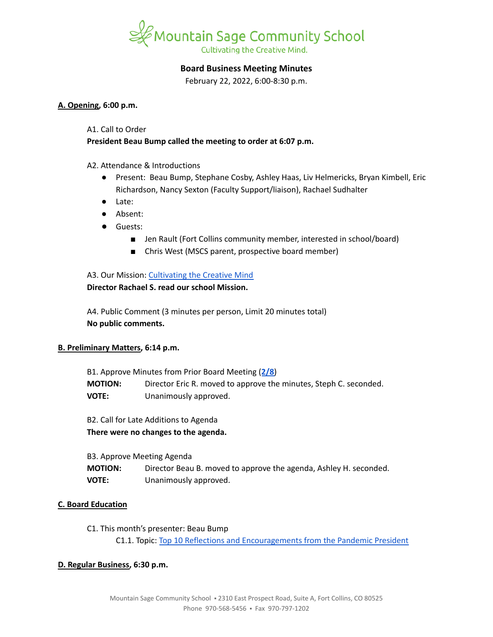

# **Board Business Meeting Minutes**

February 22, 2022, 6:00-8:30 p.m.

### **A. Opening, 6:00 p.m.**

#### A1. Call to Order

# **President Beau Bump called the meeting to order at 6:07 p.m.**

## A2. Attendance & Introductions

- Present: Beau Bump, Stephane Cosby, Ashley Haas, Liv Helmericks, Bryan Kimbell, Eric Richardson, Nancy Sexton (Faculty Support/liaison), Rachael Sudhalter
- Late:
- Absent:
- Guests:
	- Jen Rault (Fort Collins community member, interested in school/board)
	- Chris West (MSCS parent, prospective board member)

## A3. Our Mission: [Cultivating](https://www.mountainsage.org/about-us/mission-and-vision/) the Creative Mind **Director Rachael S. read our school Mission.**

A4. Public Comment (3 minutes per person, Limit 20 minutes total) **No public comments.**

## **B. Preliminary Matters, 6:14 p.m.**

B1. Approve Minutes from Prior Board Meeting (**[2/8](https://docs.google.com/document/d/12XCBcVeYIh7SjadFvv-kUeqm-PdO6t3JXl-TqQZ-O8c)**) **MOTION:** Director Eric R. moved to approve the minutes, Steph C. seconded. **VOTE:** Unanimously approved.

B2. Call for Late Additions to Agenda **There were no changes to the agenda.**

| B3. Approve Meeting Agenda |                                                                   |  |
|----------------------------|-------------------------------------------------------------------|--|
| <b>MOTION:</b>             | Director Beau B. moved to approve the agenda, Ashley H. seconded. |  |
| <b>VOTE:</b>               | Unanimously approved.                                             |  |

## **C. Board Education**

C1. This month's presenter: Beau Bump C1.1. Topic: Top 10 Reflections and [Encouragements](https://docs.google.com/presentation/d/1CQ7IxUQ66NaeMYtji1tx4-SfVzy5pBDH/edit?usp=sharing&ouid=112269595831504441268&rtpof=true&sd=true) from the Pandemic President

## **D. Regular Business, 6:30 p.m.**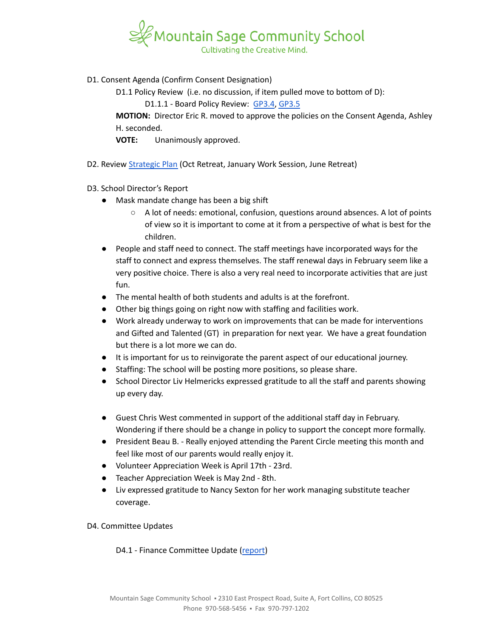

D1. Consent Agenda (Confirm Consent Designation)

D1.1 Policy Review (i.e. no discussion, if item pulled move to bottom of D):

D1.1.1 - Board Policy Review: [GP3.4](https://docs.google.com/document/d/1S_NJ1Y2QkeIt_9twvGFgt8U5tNM_vUfzIgtN4Gj1ssY), [GP3.5](https://docs.google.com/document/d/1IIf1tHKXPf4ho9PP65iWjBb79Ln2vDhJquUAo8Co65A)

**MOTION:** Director Eric R. moved to approve the policies on the Consent Agenda, Ashley H. seconded.

**VOTE:** Unanimously approved.

D2. Review [Strategic](https://docs.google.com/spreadsheets/d/1RR7z4DQ0Oq8Z29iw-TRpzfxcoDyemB4IFJY4Hpq8Y_k/edit?usp=sharing) Plan (Oct Retreat, January Work Session, June Retreat)

# D3. School Director's Report

- Mask mandate change has been a big shift
	- A lot of needs: emotional, confusion, questions around absences. A lot of points of view so it is important to come at it from a perspective of what is best for the children.
- People and staff need to connect. The staff meetings have incorporated ways for the staff to connect and express themselves. The staff renewal days in February seem like a very positive choice. There is also a very real need to incorporate activities that are just fun.
- The mental health of both students and adults is at the forefront.
- Other big things going on right now with staffing and facilities work.
- Work already underway to work on improvements that can be made for interventions and Gifted and Talented (GT) in preparation for next year. We have a great foundation but there is a lot more we can do.
- It is important for us to reinvigorate the parent aspect of our educational journey.
- Staffing: The school will be posting more positions, so please share.
- School Director Liv Helmericks expressed gratitude to all the staff and parents showing up every day.
- Guest Chris West commented in support of the additional staff day in February. Wondering if there should be a change in policy to support the concept more formally.
- President Beau B. Really enjoyed attending the Parent Circle meeting this month and feel like most of our parents would really enjoy it.
- Volunteer Appreciation Week is April 17th 23rd.
- Teacher Appreciation Week is May 2nd 8th.
- Liv expressed gratitude to Nancy Sexton for her work managing substitute teacher coverage.

## D4. Committee Updates

D4.1 - Finance Committee Update ([report](https://docs.google.com/document/d/15nltCttZm9l509HekUil_3A65mnNcexF_jTDuYbzSQI/edit?usp=sharing))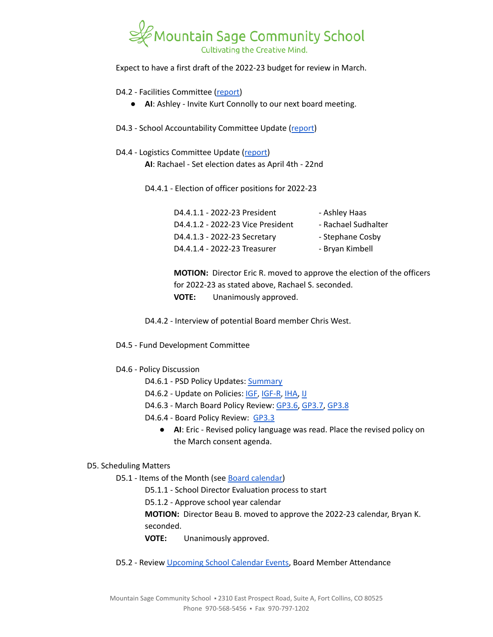

Expect to have a first draft of the 2022-23 budget for review in March.

## D4.2 - Facilities Committee [\(report\)](https://docs.google.com/document/d/1S-G0dK240wJ-JTNj4fseaBdHub6oTLUaXowbXt4MsdM/edit?usp=sharing)

- **AI**: Ashley Invite Kurt Connolly to our next board meeting.
- D4.3 School Accountability Committee Update [\(report](https://docs.google.com/document/d/1Gp6T4tTV08uQXg8qwNA8_YlbtGgQ2rsKkTTvCQCd3cU/edit?usp=sharing))
- D4.4 Logistics Committee Update ([report](https://docs.google.com/document/d/1UEHRU8jpdnlqKxqVgYXOXnR96q7gH-yFy_xx9H8e-Fc/edit?usp=sharing)) **AI**: Rachael - Set election dates as April 4th - 22nd

D4.4.1 - Election of officer positions for 2022-23

| D4.4.1.1 - 2022-23 President      | - Ashley Haas       |
|-----------------------------------|---------------------|
| D4.4.1.2 - 2022-23 Vice President | - Rachael Sudhalter |
| D4.4.1.3 - 2022-23 Secretary      | - Stephane Cosby    |
| D4.4.1.4 - 2022-23 Treasurer      | - Bryan Kimbell     |

**MOTION:** Director Eric R. moved to approve the election of the officers for 2022-23 as stated above, Rachael S. seconded. **VOTE:** Unanimously approved.

D4.4.2 - Interview of potential Board member Chris West.

- D4.5 Fund Development Committee
- D4.6 Policy Discussion
	- D4.6.1 PSD Policy Updates: [Summary](https://docs.google.com/document/d/1gNR4NuxT4Oq7qdVNWlujYiv8iVc2Rjx3sv_UI849BLA/edit?usp=sharing)
	- D4.6.2 Update on Policies: [IGF](https://drive.google.com/open?id=1YBuMipv4-8akEC1rjji4WdzpHc0a9nuVUP8uPDaN7w8), [IGF-R](https://drive.google.com/open?id=1miaI655qSVx0mkoge_Ogf0wfQe_WHysQOHWy3E8vP_4), [IHA,](https://drive.google.com/open?id=1rMNshX07qFv68v2FzhCZDtcOTvdvQ8-phi6XyMGnv2A) [IJ](https://drive.google.com/open?id=16Apta1Nk1rBYb8051Ha-6trPXjppnsisQfkh4iU4n5I)
	- D4.6.3 March Board Policy Review: [GP3.6,](https://drive.google.com/file/d/1UAONweGCuuDd8mWDhrIucZLGPVlImDqb/view?usp=sharing) [GP3.7,](https://drive.google.com/file/d/19x5OoWO_g9U5QiqeLzxehwurZVRhz0zs/view?usp=sharing) [GP3.8](https://drive.google.com/file/d/1MVzVCCua3Qc8a1vRP9jFxAAnLLplfjks/view?usp=sharing)
	- D4.6.4 Board Policy Review: [GP3.3](https://docs.google.com/document/d/1rCNyuUn-oRMQUnt7UX3Ur8rkx1Y8x7-CkbfRWeG56kU)
		- **AI**: Eric Revised policy language was read. Place the revised policy on the March consent agenda.

#### D5. Scheduling Matters

- D5.1 Items of the Month (see Board [calendar\)](https://docs.google.com/document/d/12S6s-qevYMsnj8Cr2yw6uMO7S7hL3gz2oKvXZk5ZndQ/edit?usp=sharing)
	- D5.1.1 School Director Evaluation process to start

D5.1.2 - Approve school year calendar

**MOTION:** Director Beau B. moved to approve the 2022-23 calendar, Bryan K. seconded.

**VOTE:** Unanimously approved.

D5.2 - Review [Upcoming](https://www.mountainsage.org/calendars/) School Calendar Events, Board Member Attendance